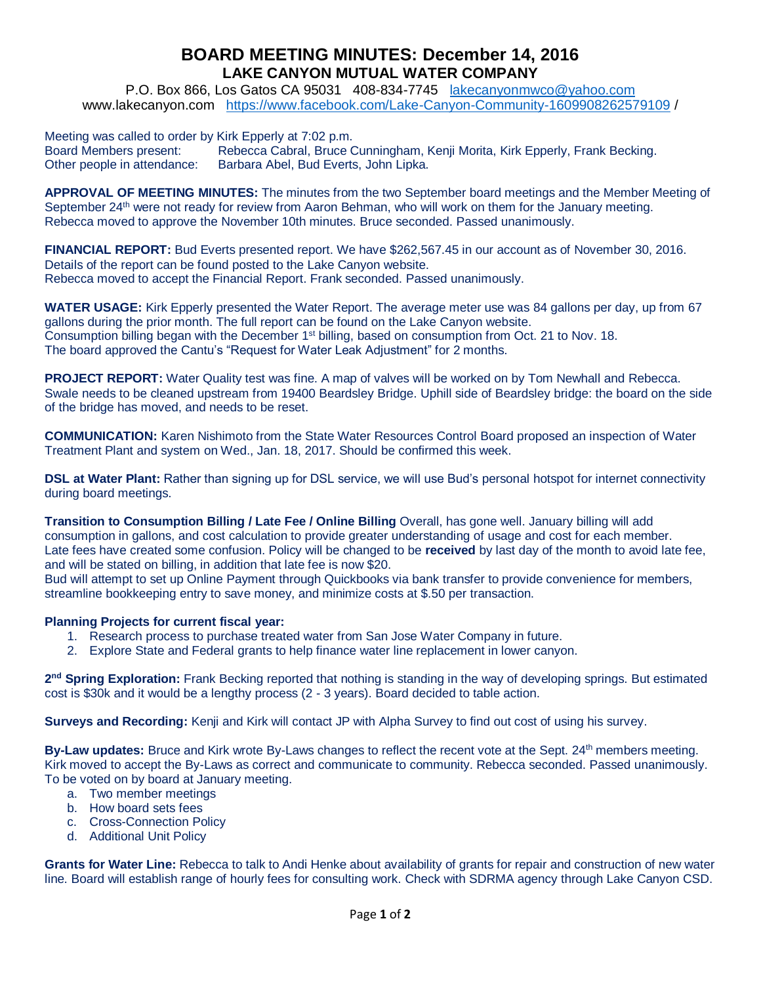## **BOARD MEETING MINUTES: December 14, 2016 LAKE CANYON MUTUAL WATER COMPANY**

P.O. Box 866, Los Gatos CA 95031 408-834-7745 [lakecanyonmwco@yahoo.com](mailto:lakecanyonmwco@yahoo.com) [www.lakecanyon.com](http://h) <https://www.facebook.com/Lake-Canyon-Community-1609908262579109> /

Meeting was called to order by Kirk Epperly at 7:02 p.m.

Board Members present: Rebecca Cabral, Bruce Cunningham, Kenji Morita, Kirk Epperly, Frank Becking. Other people in attendance: Barbara Abel, Bud Everts, John Lipka.

**APPROVAL OF MEETING MINUTES:** The minutes from the two September board meetings and the Member Meeting of September 24<sup>th</sup> were not ready for review from Aaron Behman, who will work on them for the January meeting. Rebecca moved to approve the November 10th minutes. Bruce seconded. Passed unanimously.

**FINANCIAL REPORT:** Bud Everts presented report. We have \$262,567.45 in our account as of November 30, 2016. Details of the report can be found posted to the Lake Canyon website. Rebecca moved to accept the Financial Report. Frank seconded. Passed unanimously.

**WATER USAGE:** Kirk Epperly presented the Water Report. The average meter use was 84 gallons per day, up from 67 gallons during the prior month. The full report can be found on the Lake Canyon website. Consumption billing began with the December  $1<sup>st</sup>$  billing, based on consumption from Oct. 21 to Nov. 18. The board approved the Cantu's "Request for Water Leak Adjustment" for 2 months.

**PROJECT REPORT:** Water Quality test was fine. A map of valves will be worked on by Tom Newhall and Rebecca. Swale needs to be cleaned upstream from 19400 Beardsley Bridge. Uphill side of Beardsley bridge: the board on the side of the bridge has moved, and needs to be reset.

**COMMUNICATION:** Karen Nishimoto from the State Water Resources Control Board proposed an inspection of Water Treatment Plant and system on Wed., Jan. 18, 2017. Should be confirmed this week.

**DSL at Water Plant:** Rather than signing up for DSL service, we will use Bud's personal hotspot for internet connectivity during board meetings.

**Transition to Consumption Billing / Late Fee / Online Billing** Overall, has gone well. January billing will add consumption in gallons, and cost calculation to provide greater understanding of usage and cost for each member. Late fees have created some confusion. Policy will be changed to be **received** by last day of the month to avoid late fee, and will be stated on billing, in addition that late fee is now \$20.

Bud will attempt to set up Online Payment through Quickbooks via bank transfer to provide convenience for members, streamline bookkeeping entry to save money, and minimize costs at \$.50 per transaction.

## **Planning Projects for current fiscal year:**

- 1. Research process to purchase treated water from San Jose Water Company in future.
- 2. Explore State and Federal grants to help finance water line replacement in lower canyon.

2<sup>nd</sup> Spring Exploration: Frank Becking reported that nothing is standing in the way of developing springs. But estimated cost is \$30k and it would be a lengthy process (2 - 3 years). Board decided to table action.

**Surveys and Recording:** Kenji and Kirk will contact JP with Alpha Survey to find out cost of using his survey.

**By-Law updates:** Bruce and Kirk wrote By-Laws changes to reflect the recent vote at the Sept. 24<sup>th</sup> members meeting. Kirk moved to accept the By-Laws as correct and communicate to community. Rebecca seconded. Passed unanimously. To be voted on by board at January meeting.

- a. Two member meetings
- b. How board sets fees
- c. Cross-Connection Policy
- d. Additional Unit Policy

**Grants for Water Line:** Rebecca to talk to Andi Henke about availability of grants for repair and construction of new water line. Board will establish range of hourly fees for consulting work. Check with SDRMA agency through Lake Canyon CSD.